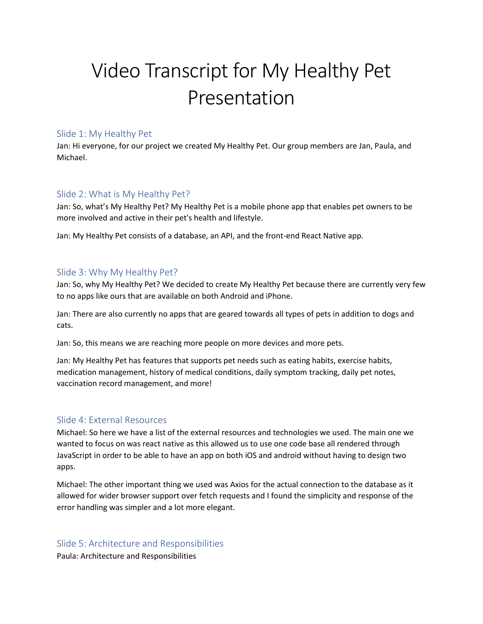# Video Transcript for My Healthy Pet Presentation

### Slide 1: My Healthy Pet

Jan: Hi everyone, for our project we created My Healthy Pet. Our group members are Jan, Paula, and Michael.

### Slide 2: What is My Healthy Pet?

Jan: So, what's My Healthy Pet? My Healthy Pet is a mobile phone app that enables pet owners to be more involved and active in their pet's health and lifestyle.

Jan: My Healthy Pet consists of a database, an API, and the front-end React Native app.

#### Slide 3: Why My Healthy Pet?

Jan: So, why My Healthy Pet? We decided to create My Healthy Pet because there are currently very few to no apps like ours that are available on both Android and iPhone.

Jan: There are also currently no apps that are geared towards all types of pets in addition to dogs and cats.

Jan: So, this means we are reaching more people on more devices and more pets.

Jan: My Healthy Pet has features that supports pet needs such as eating habits, exercise habits, medication management, history of medical conditions, daily symptom tracking, daily pet notes, vaccination record management, and more!

### Slide 4: External Resources

Michael: So here we have a list of the external resources and technologies we used. The main one we wanted to focus on was react native as this allowed us to use one code base all rendered through JavaScript in order to be able to have an app on both iOS and android without having to design two apps.

Michael: The other important thing we used was Axios for the actual connection to the database as it allowed for wider browser support over fetch requests and I found the simplicity and response of the error handling was simpler and a lot more elegant.

Slide 5: Architecture and Responsibilities Paula: Architecture and Responsibilities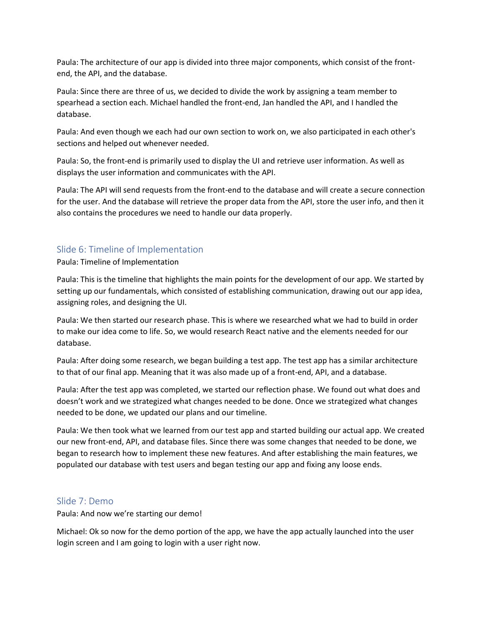Paula: The architecture of our app is divided into three major components, which consist of the frontend, the API, and the database.

Paula: Since there are three of us, we decided to divide the work by assigning a team member to spearhead a section each. Michael handled the front-end, Jan handled the API, and I handled the database.

Paula: And even though we each had our own section to work on, we also participated in each other's sections and helped out whenever needed.

Paula: So, the front-end is primarily used to display the UI and retrieve user information. As well as displays the user information and communicates with the API.

Paula: The API will send requests from the front-end to the database and will create a secure connection for the user. And the database will retrieve the proper data from the API, store the user info, and then it also contains the procedures we need to handle our data properly.

## Slide 6: Timeline of Implementation

Paula: Timeline of Implementation

Paula: This is the timeline that highlights the main points for the development of our app. We started by setting up our fundamentals, which consisted of establishing communication, drawing out our app idea, assigning roles, and designing the UI.

Paula: We then started our research phase. This is where we researched what we had to build in order to make our idea come to life. So, we would research React native and the elements needed for our database.

Paula: After doing some research, we began building a test app. The test app has a similar architecture to that of our final app. Meaning that it was also made up of a front-end, API, and a database.

Paula: After the test app was completed, we started our reflection phase. We found out what does and doesn't work and we strategized what changes needed to be done. Once we strategized what changes needed to be done, we updated our plans and our timeline.

Paula: We then took what we learned from our test app and started building our actual app. We created our new front-end, API, and database files. Since there was some changes that needed to be done, we began to research how to implement these new features. And after establishing the main features, we populated our database with test users and began testing our app and fixing any loose ends.

#### Slide 7: Demo

Paula: And now we're starting our demo!

Michael: Ok so now for the demo portion of the app, we have the app actually launched into the user login screen and I am going to login with a user right now.